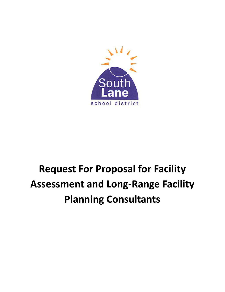

# **Request For Proposal for Facility Assessment and Long-Range Facility Planning Consultants**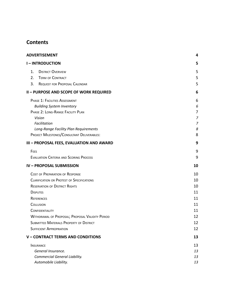# **Contents**

| <b>ADVERTISEMENT</b>                                                                 | 4      |
|--------------------------------------------------------------------------------------|--------|
| <b>I-INTRODUCTION</b>                                                                | 5      |
| 1.<br><b>DISTRICT OVERVIEW</b>                                                       | 5      |
| 2.<br><b>TERM OF CONTRACT</b>                                                        | 5      |
| 3.<br><b>REQUEST FOR PROPOSAL CALENDAR</b>                                           | 5      |
| <b>II - PURPOSE AND SCOPE OF WORK REQUIRED</b>                                       | 6      |
| PHASE 1: FACILITIES ASSESSMENT                                                       | 6      |
| <b>Building System Inventory</b>                                                     | 6      |
| PHASE 2: LONG-RANGE FACILITY PLAN                                                    | 7      |
| Vision                                                                               | 7      |
| Facilitation                                                                         | 7<br>8 |
| Long-Range Facility Plan Requirements<br>PROJECT MILESTONES/CONSULTANT DELIVERABLES: | 8      |
| III - PROPOSAL FEES, EVALUATION AND AWARD                                            | 9      |
| FEES                                                                                 | 9      |
| <b>EVALUATION CRITERIA AND SCORING PROCESS</b>                                       | 9      |
| <b>IV-PROPOSAL SUBMISSION</b>                                                        | 10     |
| <b>COST OF PREPARATION OF RESPONSE</b>                                               | 10     |
| <b>CLARIFICATION OR PROTEST OF SPECIFICATIONS</b>                                    | 10     |
| <b>RESERVATION OF DISTRICT RIGHTS</b>                                                | 10     |
| <b>DISPUTES</b>                                                                      | 11     |
| <b>REFERENCES</b>                                                                    | 11     |
| <b>COLLUSION</b>                                                                     | 11     |
| <b>CONFIDENTIALITY</b>                                                               | 11     |
| WITHDRAWAL OF PROPOSAL; PROPOSAL VALIDITY PERIOD                                     | 12     |
| <b>SUBMITTED MATERIALS PROPERTY OF DISTRICT</b>                                      | 12     |
| <b>SUFFICIENT APPROPRIATION</b>                                                      | 12     |
| V - CONTRACT TERMS AND CONDITIONS                                                    | 13     |
| <b>INSURANCE</b>                                                                     | 13     |
| General Insurance.                                                                   | 13     |
| <b>Commercial General Liability.</b>                                                 | 13     |
| Automobile Liability.                                                                | 13     |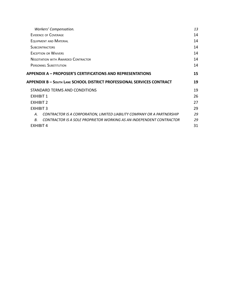| Workers' Compensation.                                                            | 13 |
|-----------------------------------------------------------------------------------|----|
| EVIDENCE OF COVERAGE                                                              | 14 |
| <b>EQUIPMENT AND MATERIAL</b>                                                     | 14 |
| <b>SUBCONTRACTORS</b>                                                             | 14 |
| <b>EXCEPTION OR WAIVERS</b>                                                       | 14 |
| <b>NEGOTIATION WITH AWARDED CONTRACTOR</b>                                        | 14 |
| <b>PERSONNEL SUBSTITUTION</b>                                                     | 14 |
| <b>APPENDIX A – PROPOSER'S CERTIFICATIONS AND REPRESENTATIONS</b>                 | 15 |
|                                                                                   |    |
| <b>APPENDIX B - SOUTH LANE SCHOOL DISTRICT PROFESSIONAL SERVICES CONTRACT</b>     | 19 |
| STANDARD TERMS AND CONDITIONS                                                     | 19 |
| <b>FXHIBIT 1</b>                                                                  | 26 |
| <b>FXHIBIT 2</b>                                                                  | 27 |
| <b>FXHIBIT 3</b>                                                                  | 29 |
| CONTRACTOR IS A CORPORATION, LIMITED LIABILITY COMPANY OR A PARTNERSHIP<br>А.     | 29 |
| CONTRACTOR IS A SOLE PROPRIETOR WORKING AS AN INDEPENDENT CONTRACTOR<br><b>B.</b> | 29 |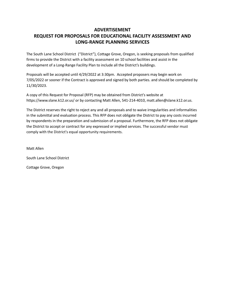# <span id="page-3-0"></span>**ADVERTISEMENT REQUEST FOR PROPOSALS FOR EDUCATIONAL FACILITY ASSESSMENT AND LONG-RANGE PLANNING SERVICES**

The South Lane School District ("District"), Cottage Grove, Oregon, is seeking proposals from qualified firms to provide the District with a facility assessment on 10 school facilities and assist in the development of a Long-Range Facility Plan to include all the District's buildings.

Proposals will be accepted until 4/29/2022 at 3:30pm. Accepted proposers may begin work on 7/05/2022 or sooner if the Contract is approved and signed by both parties. and should be completed by 11/30/2023.

A copy of this Request for Proposal (RFP) may be obtained from District's website at https://www.slane.k12.or.us/ or by contacting Matt Allen, 541-214-4010, matt.allen@slane.k12.or.us.

The District reserves the right to reject any and all proposals and to waive irregularities and informalities in the submittal and evaluation process. This RFP does not obligate the District to pay any costs incurred by respondents in the preparation and submission of a proposal. Furthermore, the RFP does not obligate the District to accept or contract for any expressed or implied services. The successful vendor must comply with the District's equal opportunity requirements.

Matt Allen

South Lane School District

Cottage Grove, Oregon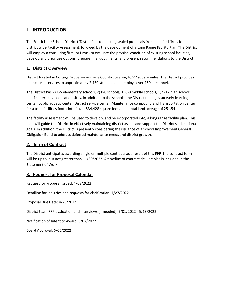# <span id="page-4-0"></span>**I – INTRODUCTION**

The South Lane School District ("District") is requesting sealed proposals from qualified firms for a district wide Facility Assessment, followed by the development of a Long Range Facility Plan. The District will employ a consulting firm (or firms) to evaluate the physical condition of existing school facilities, develop and prioritize options, prepare final documents, and present recommendations to the District.

## <span id="page-4-1"></span>**1. District Overview**

District located in Cottage Grove serves Lane County covering 4,722 square miles. The District provides educational services to approximately 2,450 students and employs over 450 personnel.

The District has 2) K-5 elementary schools, 2) K-8 schools, 1) 6-8 middle schools, 1) 9-12 high schools, and 1) alternative education sites. In addition to the schools, the District manages an early learning center, public aquatic center, District service center, Maintenance compound and Transportation center for a total facilities footprint of over 534,428 square feet and a total land acreage of 251.54.

The facility assessment will be used to develop, and be incorporated into, a long range facility plan. This plan will guide the District in effectively maintaining district assets and support the District's educational goals. In addition, the District is presently considering the issuance of a School Improvement General Obligation Bond to address deferred maintenance needs and district growth.

## <span id="page-4-2"></span>**2. Term of Contract**

The District anticipates awarding single or multiple contracts as a result of this RFP. The contract term will be up to, but not greater than 11/30/2023. A timeline of contract deliverables is included in the Statement of Work.

## <span id="page-4-3"></span>**3. Request for Proposal Calendar**

Request for Proposal Issued: 4/08/2022

Deadline for inquiries and requests for clarification: 4/27/2022

Proposal Due Date: 4/29/2022

District team RFP evaluation and interviews (if needed): 5/01/2022 - 5/13/2022

Notification of Intent to Award: 6/07/2022

Board Approval: 6/06/2022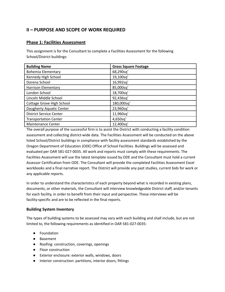# <span id="page-5-0"></span>**II – PURPOSE AND SCOPE OF WORK REQUIRED**

## <span id="page-5-1"></span>**Phase 1: Facilities Assessment**

This assignment is for the Consultant to complete a Facilities Assessment for the following School/District buildings:

| <b>Building Name</b>           | <b>Gross Square Footage</b> |
|--------------------------------|-----------------------------|
| <b>Bohemia Elementary</b>      | 68,290sq'                   |
| Kennedy High School            | 19,100sq'                   |
| Dorena School                  | 16,992sq'                   |
| <b>Harrison Elementary</b>     | 85,000sq'                   |
| London School                  | 18,700sq'                   |
| Lincoln Middle School          | 92,436sq'                   |
| Cottage Grove High School      | 180,000sq'                  |
| Daugherty Aquatic Center       | 23,960sq'                   |
| <b>District Service Center</b> | 11,960sq'                   |
| <b>Transportation Center</b>   | 4,650sq'                    |
| <b>Maintenance Center</b>      | 12,400sq'                   |

The overall purpose of the successful firm is to assist the District with conducting a facility condition assessment and collecting district-wide data. The Facilities Assessment will be conducted on the above listed School/District buildings in compliance with facility assessment standards established by the Oregon Department of Education (ODE) Office of School Facilities. Buildings will be assessed and evaluated per OAR 581-027-0035. All work and reports must comply with these requirements. The Facilities Assessment will use the latest template issued by ODE and the Consultant must hold a current Assessor Certification from ODE. The Consultant will provide the completed Facilities Assessment Excel workbooks and a final narrative report. The District will provide any past studies, current bids for work or any applicable reports.

In order to understand the characteristics of each property beyond what is recorded in existing plans, documents, or other materials, the Consultant will interview knowledgeable District staff, and/or tenants for each facility, in order to benefit from their input and perspective. These interviews will be facility-specific and are to be reflected in the final reports.

#### <span id="page-5-2"></span>**Building System Inventory**

The types of building systems to be assessed may vary with each building and shall include, but are not limited to, the following requirements as identified in OAR 581-027-0035:

- Foundation
- Basement
- Roofing: construction, coverings, openings
- Floor construction
- Exterior enclosure: exterior walls, windows, doors
- Interior construction: partitions, interior doors, fittings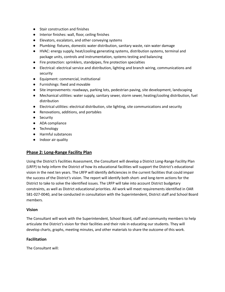- Stair construction and finishes
- Interior finishes: wall, floor, ceiling finishes
- Elevators, escalators, and other conveying systems
- Plumbing: fixtures, domestic water distribution, sanitary waste, rain water damage
- HVAC: energy supply, heat/cooling generating systems, distribution systems, terminal and package units, controls and instrumentation, systems testing and balancing
- Fire protection: sprinklers, standpipes, fire protection specialties
- Electrical: electrical service and distribution, lighting and branch wiring, communications and security
- Equipment: commercial, institutional
- Furnishings: fixed and movable
- Site improvements: roadways, parking lots, pedestrian paving, site development, landscaping
- Mechanical utilities: water supply, sanitary sewer, storm sewer, heating/cooling distribution, fuel distribution
- Electrical utilities: electrical distribution, site lighting, site communications and security
- Renovations, additions, and portables
- Security
- ADA compliance
- Technology
- Harmful substances
- Indoor air quality

#### <span id="page-6-0"></span>**Phase 2: Long-Range Facility Plan**

Using the District's Facilities Assessment, the Consultant will develop a District Long-Range Facility Plan (LRFP) to help inform the District of how its educational facilities will support the District's educational vision in the next ten years. The LRFP will identify deficiencies in the current facilities that could impair the success of the District's vision. The report will identify both short- and long-term actions for the District to take to solve the identified issues. The LRFP will take into account District budgetary constraints, as well as District educational priorities. All work will meet requirements identified in OAR 581-027-0040, and be conducted in consultation with the Superintendent, District staff and School Board members.

#### <span id="page-6-1"></span>**Vision**

The Consultant will work with the Superintendent, School Board, staff and community members to help articulate the District's vision for their facilities and their role in educating our students. They will develop charts, graphs, meeting minutes, and other materials to share the outcome of this work.

#### <span id="page-6-2"></span>**Facilitation**

The Consultant will: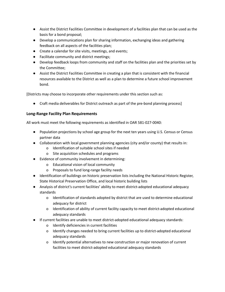- Assist the District Facilities Committee in development of a facilities plan that can be used as the basis for a bond proposal;
- Develop a communications plan for sharing information, exchanging ideas and gathering feedback on all aspects of the facilities plan;
- Create a calendar for site visits, meetings, and events;
- Facilitate community and district meetings;
- Develop feedback loops from community and staff on the facilities plan and the priorities set by the Committee;
- Assist the District Facilities Committee in creating a plan that is consistent with the financial resources available to the District as well as a plan to determine a future school improvement bond.

[Districts may choose to incorporate other requirements under this section such as:

● Craft media deliverables for District outreach as part of the pre-bond planning process]

## <span id="page-7-0"></span>**Long-Range Facility Plan Requirements**

All work must meet the following requirements as identified in OAR 581-027-0040:

- Population projections by school age group for the next ten years using U.S. Census or Census partner data
- Collaboration with local government planning agencies (city and/or county) that results in:
	- o Identification of suitable school sites if needed
	- o Site acquisition schedules and programs
- Evidence of community involvement in determining:
	- o Educational vision of local community
	- o Proposals to fund long-range facility needs
- Identification of buildings on historic preservation lists including the National Historic Register, State Historical Preservation Office, and local historic building lists
- Analysis of district's current facilities' ability to meet district-adopted educational adequacy standards
	- o Identification of standards adopted by district that are used to determine educational adequacy for district
	- o Identification of ability of current facility capacity to meet district-adopted educational adequacy standards
- If current facilities are unable to meet district-adopted educational adequacy standards:
	- o Identify deficiencies in current facilities
	- o Identify changes needed to bring current facilities up to district-adopted educational adequacy standards
	- o Identify potential alternatives to new construction or major renovation of current facilities to meet district-adopted educational adequacy standards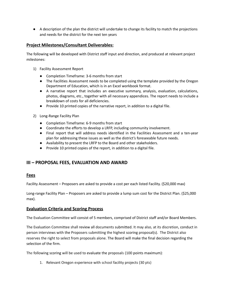● A description of the plan the district will undertake to change its facility to match the projections and needs for the district for the next ten years

## <span id="page-8-0"></span>**Project Milestones/Consultant Deliverables:**

The following will be developed with District staff input and direction, and produced at relevant project milestones:

- 1) Facility Assessment Report
	- Completion Timeframe: 3-6 months from start
	- The Facilities Assessment needs to be completed using the template provided by the Oregon Department of Education, which is in an Excel workbook format.
	- A narrative report that includes an executive summary, analysis, evaluation, calculations, photos, diagrams, etc., together with all necessary appendices. The report needs to include a breakdown of costs for all deficiencies.
	- Provide 10 printed copies of the narrative report, in addition to a digital file.
- 2) Long-Range Facility Plan
	- Completion Timeframe: 6-9 months from start
	- Coordinate the efforts to develop a LRFP, including community involvement.
	- Final report that will address needs identified in the Facilities Assessment and a ten-year plan for addressing these issues as well as the district's foreseeable future needs.
	- Availability to present the LRFP to the Board and other stakeholders.
	- Provide 10 printed copies of the report, in addition to a digital file.

# <span id="page-8-1"></span>**III – PROPOSAL FEES, EVALUATION AND AWARD**

## <span id="page-8-2"></span>**Fees**

Facility Assessment – Proposers are asked to provide a cost per each listed Facility. (\$20,000 max)

Long-range Facility Plan – Proposers are asked to provide a lump sum cost for the District Plan. (\$25,000 max).

## <span id="page-8-3"></span>**Evaluation Criteria and Scoring Process**

The Evaluation Committee will consist of 5 members, comprised of District staff and/or Board Members.

The Evaluation Committee shall review all documents submitted. It may also, at its discretion, conduct in person interviews with the Proposers submitting the highest scoring proposal(s). The District also reserves the right to select from proposals alone. The Board will make the final decision regarding the selection of the firm.

The following scoring will be used to evaluate the proposals (100 points maximum):

1. Relevant Oregon experience with school facility projects (30 pts)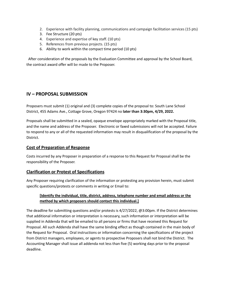- 2. Experience with facility planning, communications and campaign facilitation services (15 pts)
- 3. Fee Structure (20 pts)
- 4. Experience and expertise of key staff. (10 pts)
- 5. References from previous projects. (15 pts)
- 6. Ability to work within the compact time period (10 pts)

After consideration of the proposals by the Evaluation Committee and approval by the School Board, the contract award offer will be made to the Proposer.

## <span id="page-9-0"></span>**IV – PROPOSAL SUBMISSION**

Proposers must submit (1) original and (3) complete copies of the proposal to: South Lane School District, 455 Adams Ave., Cottage Grove, Oregon 97424 no **later than 3:30pm, 4/29, 2022.**

Proposals shall be submitted in a sealed, opaque envelope appropriately marked with the Proposal title, and the name and address of the Proposer. Electronic or faxed submissions will not be accepted. Failure to respond to any or all of the requested information may result in disqualification of the proposal by the District.

#### <span id="page-9-1"></span>**Cost of Preparation of Response**

Costs incurred by any Proposer in preparation of a response to this Request for Proposal shall be the responsibility of the Proposer.

#### <span id="page-9-2"></span>**Clarification or Protest of Specifications**

Any Proposer requiring clarification of the information or protesting any provision herein, must submit specific questions/protests or comments in writing or Email to:

#### **[Identify the individual, title, district, address, telephone number and email address or the method by which proposers should contact this individual.]**

The deadline for submitting questions and/or protests is 4/27/2022, @3:00pm. If the District determines that additional information or interpretation is necessary, such information or interpretation will be supplied in Addenda that will be emailed to all persons or firms that have received this Request for Proposal. All such Addenda shall have the same binding effect as though contained in the main body of the Request for Proposal. Oral instructions or information concerning the specifications of the project from District managers, employees, or agents to prospective Proposers shall not bind the District. The Accounting Manager shall issue all addenda not less than five (5) working days prior to the proposal deadline.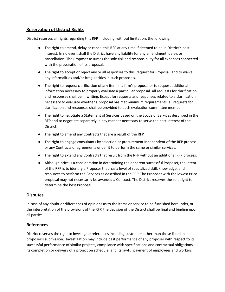## <span id="page-10-0"></span>**Reservation of District Rights**

District reserves all rights regarding this RFP, including, without limitation, the following:

- The right to amend, delay or cancel this RFP at any time if deemed to be in District's best interest. In no event shall the District have any liability for any amendment, delay, or cancellation. The Proposer assumes the sole risk and responsibility for all expenses connected with the preparation of its proposal.
- The right to accept or reject any or all responses to this Request for Proposal, and to waive any informalities and/or irregularities in such proposals.
- The right to request clarification of any item in a firm's proposal or to request additional information necessary to properly evaluate a particular proposal. All requests for clarification and responses shall be in writing. Except for requests and responses related to a clarification necessary to evaluate whether a proposal has met minimum requirements, all requests for clarification and responses shall be provided to each evaluation committee member.
- The right to negotiate a Statement of Services based on the Scope of Services described in the RFP and to negotiate separately in any manner necessary to serve the best interest of the District.
- The right to amend any Contracts that are a result of the RFP.
- The right to engage consultants by selection or procurement independent of the RFP process or any Contracts or agreements under it to perform the same or similar services.
- The right to extend any Contracts that result from the RFP without an additional RFP process.
- Although price is a consideration in determining the apparent successful Proposer, the intent of the RFP is to identify a Proposer that has a level of specialized skill, knowledge, and resources to perform the Services as described in the RFP. The Proposer with the lowest Price proposal may not necessarily be awarded a Contract. The District reserves the sole right to determine the best Proposal.

#### <span id="page-10-1"></span>**Disputes**

In case of any doubt or differences of opinions as to the items or service to be furnished hereunder, or the interpretation of the provisions of the RFP, the decision of the District shall be final and binding upon all parties.

#### <span id="page-10-2"></span>**References**

District reserves the right to investigate references including customers other than those listed in proposer's submission. Investigation may include past performance of any proposer with respect to its successful performance of similar projects, compliance with specifications and contractual obligations, its completion or delivery of a project on schedule, and its lawful payment of employees and workers.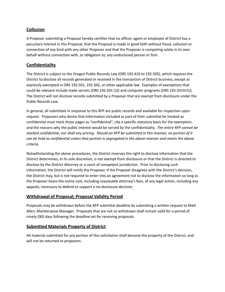## <span id="page-11-0"></span>**Collusion**

A Proposer submitting a Proposal hereby certifies that no officer, agent or employee of District has a pecuniary interest in this Proposal; that the Proposal is made in good faith without fraud, collusion or connection of any kind with any other Proposer and that the Proposer is competing solely in its own behalf without connection with, or obligation to, any undisclosed person or firm.

## <span id="page-11-1"></span>**Confidentiality**

The District is subject to the Oregon Public Records Law (ORS 192.410 to 192.505), which requires the District to disclose all records generated or received in the transaction of District business, except as expressly exempted in ORS 192.501, 192.502, or other applicable law. Examples of exemptions that could be relevant include trade secrets (ORS 192.501 (2)) and computer programs (ORS 192.501915)). The District will not disclose records submitted by a Proposer that are exempt from disclosure under the Public Records Law.

In general, all submittals in response to this RFP are public records and available for inspection upon request. Proposers who desire that information included as part of their submittal be treated as confidential must mark those pages as "confidential", cite a specific statutory basis for the exemption, and the reasons why the public interest would be served by the confidentiality. *The entire RFP cannot be* marked confidential, nor shall any pricing. Should an RFP be submitted in this manner, no portion of it can be held as confidential unless that portion is segregated in the above manner and meets the above *criteria.*

Notwithstanding the above procedures, the District reserves the right to disclose information that the District determines, in its sole discretion, is not exempt from disclosure or that the District is directed to disclose by the District Attorney or a court of competent jurisdiction. Prior to disclosing such information, the District will notify the Proposer. If the Proposer disagrees with the District's decision, the District may, but is not required to enter into an agreement not to disclose the information so long as the Proposer bears the entire cost, including reasonable attorney's fees, of any legal action, including any appeals, necessary to defend or support a no-disclosure decision.

## <span id="page-11-2"></span>**Withdrawal of Proposal; Proposal Validity Period**

Proposals may be withdrawn before the RFP submittal deadline by submitting a written request to Matt Allen, Maintenance Manager. Proposals that are not so withdrawn shall remain valid for a period of ninety (90) days following the deadline set for receiving proposals.

## <span id="page-11-3"></span>**Submitted Materials Property of District**

All material submitted for any portion of this solicitation shall become the property of the District, and will not be returned to proposers.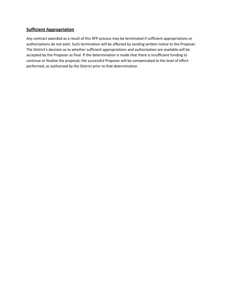## <span id="page-12-0"></span>**Sufficient Appropriation**

Any contract awarded as a result of this RFP process may be terminated if sufficient appropriations or authorizations do not exist. Such termination will be affected by sending written notice to the Proposer. The District's decision as to whether sufficient appropriations and authorization are available will be accepted by the Proposer as final. If the determination is made that there is insufficient funding to continue or finalize the proposal, the successful Proposer will be compensated to the level of effort performed, as authorized by the District prior to that determination.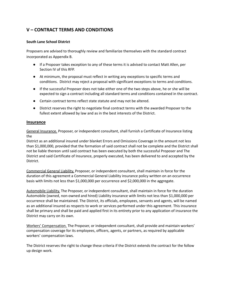# <span id="page-13-0"></span>**V – CONTRACT TERMS AND CONDITIONS**

#### **South Lane School District**

Proposers are advised to thoroughly review and familiarize themselves with the standard contract incorporated as Appendix B.

- If a Proposer takes exception to any of these terms it is advised to contact Matt Allen, per Section IV of this RFP.
- At minimum, the proposal must reflect in writing any exceptions to specific terms and conditions. District may reject a proposal with significant exceptions to terms and conditions.
- If the successful Proposer does not take either one of the two steps above, he or she will be expected to sign a contract including all standard terms and conditions contained in the contract.
- Certain contract terms reflect state statute and may not be altered.
- District reserves the right to negotiate final contract terms with the awarded Proposer to the fullest extent allowed by law and as in the best interests of the District.

#### <span id="page-13-1"></span>**Insurance**

<span id="page-13-2"></span>General Insurance. Proposer, or independent consultant, shall furnish a Certificate of Insurance listing the

District as an additional insured under blanket Errors and Omissions Coverage in the amount not less than \$1,000,000, provided that the formation of said contract shall not be complete and the District shall not be liable thereon until said contract has been executed by both the successful Proposer and The District and said Certificate of Insurance, properly executed, has been delivered to and accepted by the District.

<span id="page-13-3"></span>Commercial General Liability. Proposer, or independent consultant, shall maintain in force for the duration of this agreement a Commercial General Liability insurance policy written on an occurrence basis with limits not less than \$1,000,000 per occurrence and \$2,000,000 in the aggregate.

<span id="page-13-4"></span>Automobile Liability. The Proposer, or independent consultant, shall maintain in force for the duration Automobile (owned, non-owned and hired) Liability insurance with limits not less than \$1,000,000 per occurrence shall be maintained. The District, its officials, employees, servants and agents, will be named as an additional insured as respects to work or services performed under this agreement. This insurance shall be primary and shall be paid and applied first in its entirety prior to any application of insurance the District may carry on its own.

<span id="page-13-5"></span>Workers' Compensation. The Proposer, or independent consultant, shall provide and maintain workers' compensation coverage for its employees, officers, agents, or partners, as required by applicable workers' compensation laws.

The District reserves the right to change these criteria if the District extends the contract for the follow up design work.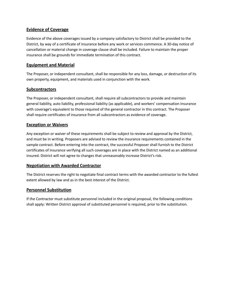## <span id="page-14-0"></span>**Evidence of Coverage**

Evidence of the above coverages issued by a company satisfactory to District shall be provided to the District, by way of a certificate of insurance before any work or services commence. A 30-day notice of cancellation or material change in coverage clause shall be included. Failure to maintain the proper insurance shall be grounds for immediate termination of this contract.

## <span id="page-14-1"></span>**Equipment and Material**

The Proposer, or independent consultant, shall be responsible for any loss, damage, or destruction of its own property, equipment, and materials used in conjunction with the work.

## <span id="page-14-2"></span>**Subcontractors**

The Proposer, or independent consultant, shall require all subcontractors to provide and maintain general liability, auto liability, professional liability (as applicable), and workers' compensation insurance with coverage's equivalent to those required of the general contractor in this contract. The Proposer shall require certificates of insurance from all subcontractors as evidence of coverage.

## <span id="page-14-3"></span>**Exception or Waivers**

Any exception or waiver of these requirements shall be subject to review and approval by the District, and must be in writing. Proposers are advised to review the insurance requirements contained in the sample contract. Before entering into the contract, the successful Proposer shall furnish to the District certificates of insurance verifying all such coverages are in place with the District named as an additional insured. District will not agree to changes that unreasonably increase District's risk.

## <span id="page-14-4"></span>**Negotiation with Awarded Contractor**

The District reserves the right to negotiate final contract terms with the awarded contractor to the fullest extent allowed by law and as in the best interest of the District.

## <span id="page-14-5"></span>**Personnel Substitution**

If the Contractor must substitute personnel included in the original proposal, the following conditions shall apply: Written District approval of substituted personnel is required, prior to the substitution.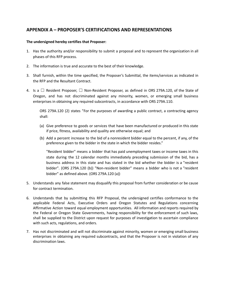# <span id="page-15-0"></span>**APPENDIX A – PROPOSER'S CERTIFICATIONS AND REPRESENTATIONS**

#### **The undersigned hereby certifies that Proposer:**

- 1. Has the authority and/or responsibility to submit a proposal and to represent the organization in all phases of this RFP process.
- 2. The information is true and accurate to the best of their knowledge.
- 3. Shall furnish, within the time specified, the Proposer's Submittal, the items/services as indicated in the RFP and the Resultant Contract.
- 4. Is a  $\Box$  Resident Proposer,  $\Box$  Non-Resident Proposer, as defined in ORS 279A.120, of the State of Oregon, and has not discriminated against any minority, women, or emerging small business enterprises in obtaining any required subcontracts, in accordance with ORS 279A.110.

ORS 279A.120 (2) states "For the purposes of awarding a public contract, a contracting agency shall:

- (a) Give preference to goods or services that have been manufactured or produced in this state if price, fitness, availability and quality are otherwise equal; and
- (b) Add a percent increase to the bid of a nonresident bidder equal to the percent, if any, of the preference given to the bidder in the state in which the bidder resides."

"Resident bidder" means a bidder that has paid unemployment taxes or income taxes in this state during the 12 calendar months immediately preceding submission of the bid, has a business address in this state and has stated in the bid whether the bidder is a "resident bidder". (ORS 279A.120 (b)) "Non-resident bidder" means a bidder who is not a "resident bidder" as defined above. (ORS 279A.120 (a))

- 5. Understands any false statement may disqualify this proposal from further consideration or be cause for contract termination.
- 6. Understands that by submitting this RFP Proposal, the undersigned certifies conformance to the applicable Federal Acts, Executive Orders and Oregon Statutes and Regulations concerning Affirmative Action toward equal employment opportunities. All information and reports required by the Federal or Oregon State Governments, having responsibility for the enforcement of such laws, shall be supplied to the District upon request for purposes of investigation to ascertain compliance with such acts, regulations, and orders.
- 7. Has not discriminated and will not discriminate against minority, women or emerging small business enterprises in obtaining any required subcontracts, and that the Proposer is not in violation of any discrimination laws.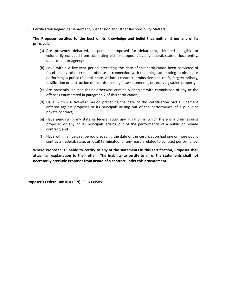8. Certification Regarding Debarment, Suspension and Other Responsibility Matters

#### **The Proposer certifies to the best of its knowledge and belief that neither it nor any of its principals:**

- (a) Are presently debarred, suspended, proposed for debarment, declared ineligible or voluntarily excluded from submitting bids or proposals by any federal, state or local entity, department or agency;
- (b) Have within a five-year period preceding the date of this certification been convicted of fraud or any other criminal offense in connection with obtaining, attempting to obtain, or performing a public (federal, state, or local) contract, embezzlement, theft, forgery, bribery, falsification or destruction of records, making false statements, or receiving stolen property;
- (c) Are presently indicted for or otherwise criminally charged with commission of any of the offenses enumerated in paragraph 2 of this certification;
- (d) Have, within a five-year period preceding the date of this certification had a judgment entered against proposer or its principals arising out of the performance of a public or private contract;
- (e) Have pending in any state or federal court any litigation in which there is a claim against proposer or any of its principals arising out of the performance of a public or private contract; and
- (f) Have within a five-year period preceding the date of this certification had one or more public contracts (federal, state, or local) terminated for any reason related to contract performance.

**Where Proposer is unable to certify to any of the statements in this certification, Proposer shall attach an explanation to their offer. The inability to certify to all of the statements shall not necessarily preclude Proposer from award of a contract under this procurement.**

**Proposer's Federal Tax ID # (EIN):** 93-6000589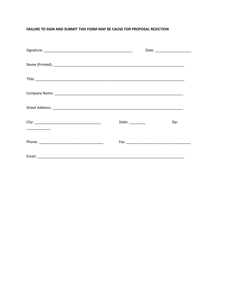#### FAILURE TO SIGN AND SUBMIT THIS FORM MAY BE CAUSE FOR PROPOSAL REJECTION

| State: $\frac{1}{2}$ | Zip: |
|----------------------|------|
|                      |      |
|                      |      |
|                      |      |
|                      |      |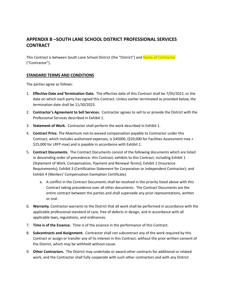# <span id="page-18-0"></span>**APPENDIX B –SOUTH LANE SCHOOL DISTRICT PROFESSIONAL SERVICES CONTRACT**

This Contract is between South Lane School District (the "District") and Name of Contractor ("Contractor").

#### <span id="page-18-1"></span>**STANDARD TERMS AND CONDITIONS**

The parties agree as follows:

- 1. **Effective Date and Termination Date.** The effective date of this Contract shall be 7/05/2022, or the date on which each party has signed this Contract. Unless earlier terminated as provided below, the termination date shall be 11/30/2023.
- 2. **Contractor's Agreement to Sell Services.** Contractor agrees to sell to or provide the District with the Professional Services described in Exhibit 1.
- 3. **Statement of Work.** Contractor shall perform the work described in Exhibit 1.
- 4. **Contract Price.** The Maximum not-to-exceed compensation payable to Contractor under this Contract, which includes authorized expenses, is \$45000, (\$20,000 for Facilities Assessment max + \$25,000 for LRFP max) and is payable in accordance with Exhibit 1.
- 5. **Contract Documents.** The Contract Documents consist of the following documents which are listed in descending order of precedence: this Contract; exhibits to this Contract, including Exhibit 1 (Statement of Work, Compensation, Payment and Renewal Terms); Exhibit 2 (Insurance Requirements); Exhibit 3 (Certification Statement for Corporation or Independent Contractor); and Exhibit 4 (Workers' Compensation Exemption Certificate).
	- a. A conflict in the Contract Documents shall be resolved in the priority listed above with this Contract taking precedence over all other documents. The Contract Documents are the entire contract between the parties and shall supersede any prior representations, written or oral.
- 6. **Warranty.** Contractor warrants to the District that all work shall be performed in accordance with the applicable professional standard of care, free of defects in design, and in accordance with all applicable laws, regulations, and ordinances.
- 7. **Time is of the Essence.** Time is of the essence in the performance of this Contract.
- 8. **Subcontracts and Assignment.** Contractor shall not subcontract any of the work required by this Contract or assign or transfer any of its interest in this Contract, without the prior written consent of the District, which may be withheld without cause.
- 9. **Other Contractors.** The District may undertake or award other contracts for additional or related work, and the Contractor shall fully cooperate with such other contractors and with any District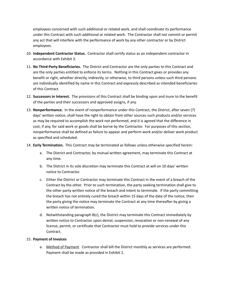employees concerned with such additional or related work, and shall coordinate its performance under this Contract with such additional or related work. The Contractor shall not commit or permit any act that will interfere with the performance of work by any other contractor or by District employees.

- 10. **Independent Contractor Status.** Contractor shall certify status as an independent contractor in accordance with Exhibit 3.
- 11. **No Third-Party Beneficiaries.** The District and Contractor are the only parties to this Contract and are the only parties entitled to enforce its terms. Nothing in this Contract gives or provides any benefit or right, whether directly, indirectly, or otherwise, to third persons unless such third persons are individually identified by name in this Contract and expressly described as intended beneficiaries of this Contract.
- 12. **Successors in Interest.** The provisions of this Contract shall be binding upon and inure to the benefit of the parties and their successors and approved assigns, if any.
- 13. **Nonperformance.** In the event of nonperformance under this Contract, the District, after seven (7) days' written notice, shall have the right to obtain from other sources such products and/or services as may be required to accomplish the work not performed, and it is agreed that the difference in cost, if any, for said work or goods shall be borne by the Contractor. For purposes of this section, nonperformance shall be defined as failure to appear and perform work and/or deliver work product as specified and scheduled.
- 14. **Early Termination.** This Contract may be terminated as follows unless otherwise specified herein:
	- a. The District and Contractor, by mutual written agreement, may terminate this Contract at any time.
	- b. The District in its sole discretion may terminate this Contract at will on 10 days' written notice to Contractor.
	- c. Either the District or Contractor may terminate this Contract in the event of a breach of the Contract by the other. Prior to such termination, the party seeking termination shall give to the other party written notice of the breach and intent to terminate. If the party committing the breach has not entirely cured the breach within 15 days of the date of the notice, then the party giving the notice may terminate the Contract at any time thereafter by giving a written notice of termination.
	- d. Notwithstanding paragraph 8(c), the District may terminate this Contract immediately by written notice to Contractor upon denial, suspension, revocation or non-renewal of any license, permit, or certificate that Contractor must hold to provide services under this Contract.

#### 15. **Payment of Invoices**

a. Method of Payment. Contractor shall bill the District monthly as services are performed. Payment shall be made as provided in Exhibit 1.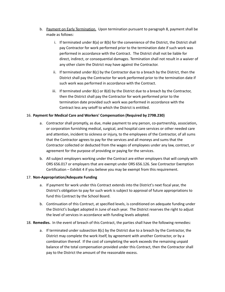- b. Payment on Early Termination. Upon termination pursuant to paragraph 8, payment shall be made as follows:
	- i. If terminated under 8(a) or 8(b) for the convenience of the District, the District shall pay Contractor for work performed prior to the termination date if such work was performed in accordance with the Contract. The District shall not be liable for direct, indirect, or consequential damages. Termination shall not result in a waiver of any other claim the District may have against the Contractor.
	- ii. If terminated under 8(c) by the Contractor due to a breach by the District, then the District shall pay the Contractor for work performed prior to the termination date if such work was performed in accordance with the Contract.
	- iii. If terminated under  $8(c)$  or  $8(d)$  by the District due to a breach by the Contractor, then the District shall pay the Contractor for work performed prior to the termination date provided such work was performed in accordance with the Contract less any setoff to which the District is entitled.

#### 16. **Payment for Medical Care and Workers' Compensation (Required by 279B.230)**

- a. Contractor shall promptly, as due, make payment to any person, co-partnership, association, or corporation furnishing medical, surgical, and hospital care services or other needed care and attention, incident to sickness or injury, to the employees of the Contractor, of all sums that the Contractor agrees to pay for the services and all moneys and sums that the Contractor collected or deducted from the wages of employees under any law, contract, or agreement for the purpose of providing or paying for the services.
- b. All subject employers working under the Contract are either employers that will comply with ORS 656.017 or employers that are exempt under ORS 656.126. See Contractor Exemption Certification – Exhibit 4 if you believe you may be exempt from this requirement.

#### 17. **Non-Appropriation/Adequate Funding**

- a. If payment for work under this Contract extends into the District's next fiscal year, the District's obligation to pay for such work is subject to approval of future appropriations to fund this Contract by the School Board.
- b. Continuation of this Contract, at specified levels, is conditioned on adequate funding under the District's budget adopted in June of each year. The District reserves the right to adjust the level of services in accordance with funding levels adopted.

#### 18. **Remedies.** In the event of breach of this Contract, the parties shall have the following remedies:

a. If terminated under subsection  $8(c)$  by the District due to a breach by the Contractor, the District may complete the work itself, by agreement with another Contractor, or by a combination thereof. If the cost of completing the work exceeds the remaining unpaid balance of the total compensation provided under this Contract, then the Contractor shall pay to the District the amount of the reasonable excess.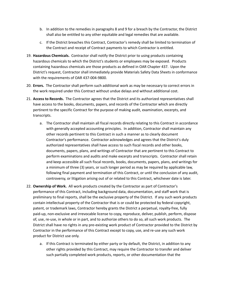- b. In addition to the remedies in paragraphs 8 and 9 for a breach by the Contractor, the District shall also be entitled to any other equitable and legal remedies that are available.
- c. If the District breaches this Contract, Contractor's remedy shall be limited to termination of the Contract and receipt of Contract payments to which Contractor is entitled.
- 19. **Hazardous Chemicals.** Contractor shall notify the District prior to using products containing hazardous chemicals to which the District's students or employees may be exposed. Products containing hazardous chemicals are those products as defined in OAR Chapter 437. Upon the District's request, Contractor shall immediately provide Materials Safety Data Sheets in conformance with the requirements of OAR 437-004-9800.
- 20. **Errors.** The Contractor shall perform such additional work as may be necessary to correct errors in the work required under this Contract without undue delays and without additional cost.
- 21. **Access to Records.** The Contractor agrees that the District and its authorized representatives shall have access to the books, documents, papers, and records of the Contractor which are directly pertinent to the specific Contract for the purpose of making audit, examination, excerpts, and transcripts.
	- a. The Contractor shall maintain all fiscal records directly relating to this Contract in accordance with generally accepted accounting principles. In addition, Contractor shall maintain any other records pertinent to this Contract in such a manner as to clearly document Contractor's performance. Contractor acknowledges and agrees that the District's duly authorized representatives shall have access to such fiscal records and other books, documents, papers, plans, and writings of Contractor that are pertinent to this Contract to perform examinations and audits and make excerpts and transcripts. Contractor shall retain and keep accessible all such fiscal records, books, documents, papers, plans, and writings for a minimum of three (3) years, or such longer period as may be required by applicable law, following final payment and termination of this Contract, or until the conclusion of any audit, controversy, or litigation arising out of or related to this Contract, whichever date is later.
- 22. **Ownership of Work.** All work products created by the Contractor as part of Contractor's performance of this Contract, including background data, documentation, and staff work that is preliminary to final reports, shall be the exclusive property of the District. If any such work products contain intellectual property of the Contractor that is or could be protected by federal copyright, patent, or trademark laws, Contractor hereby grants the District a perpetual, royalty-free, fully paid-up, non-exclusive and irrevocable license to copy, reproduce, deliver, publish, perform, dispose of, use, re-use, in whole or in part, and to authorize others to do so, all such work products. The District shall have no rights in any pre-existing work product of Contractor provided to the District by Contractor in the performance of this Contract except to copy, use, and re-use any such work product for District use only.
	- a. If this Contract is terminated by either party or by default, the District, in addition to any other rights provided by this Contract, may require the Contractor to transfer and deliver such partially completed work products, reports, or other documentation that the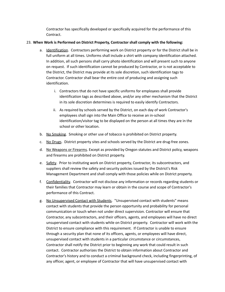Contractor has specifically developed or specifically acquired for the performance of this Contract.

#### 23. **When Work is Performed on District Property, Contractor shall comply with the following:**

- a. Identification. Contractors performing work on District property or for the District shall be in full uniform at all times. Uniforms shall include a shirt with company identification attached. In addition, all such persons shall carry photo identification and will present such to anyone on request. If such identification cannot be produced by Contractor, or is not acceptable to the District, the District may provide at its sole discretion, such identification tags to Contractor. Contractor shall bear the entire cost of producing and assigning such identification.
	- i. Contractors that do not have specific uniforms for employees shall provide identification tags as described above, and/or any other mechanism that the District in its sole discretion determines is required to easily identify Contractors.
	- ii. As required by schools served by the District, on each day of work Contractor's employees shall sign into the Main Office to receive an in-school identification/visitor tag to be displayed on the person at all times they are in the school or other location.
- b. No Smoking. Smoking or other use of tobacco is prohibited on District property.
- c. No Drugs. District property sites and schools served by the District are drug-free zones.
- d. No Weapons or Firearms. Except as provided by Oregon statutes and District policy, weapons and firearms are prohibited on District property.
- e. Safety. Prior to instituting work on District property, Contractor, its subcontractors, and suppliers shall review the safety and security policies issued by the District's Risk Management Department and shall comply with those policies while on District property.
- f. Confidentiality. Contractor will not disclose any information or records regarding students or their families that Contractor may learn or obtain in the course and scope of Contractor's performance of this Contract.
- g. No Unsupervised Contact with Students. "Unsupervised contact with students" means contact with students that provide the person opportunity and probability for personal communication or touch when not under direct supervision. Contractor will ensure that Contractor, any subcontractors, and their officers, agents, and employees will have no direct unsupervised contact with students while on District property. Contractor will work with the District to ensure compliance with this requirement. If Contractor is unable to ensure through a security plan that none of its officers, agents, or employees will have direct, unsupervised contact with students in a particular circumstance or circumstances, Contractor shall notify the District prior to beginning any work that could result in such contact. Contractor authorizes the District to obtain information about Contractor and Contractor's history and to conduct a criminal background check, including fingerprinting, of any officer, agent, or employee of Contractor that will have unsupervised contact with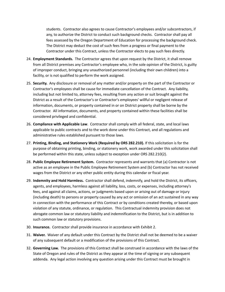students. Contractor also agrees to cause Contractor's employees and/or subcontractors, if any, to authorize the District to conduct such background checks. Contractor shall pay all fees assessed by the Oregon Department of Education for processing the background check. The District may deduct the cost of such fees from a progress or final payment to the Contractor under this Contract, unless the Contractor elects to pay such fees directly.

- 24. **Employment Standards.** The Contractor agrees that upon request by the District, it shall remove from all District premises any Contractor's employee who, in the sole opinion of the District, is guilty of improper conduct, bringing any unauthorized personnel (including their own children) into a facility, or is not qualified to perform the work assigned.
- 25. **Security.** Any disclosure or removal of any matter and/or property on the part of the Contractor or Contractor's employees shall be cause for immediate cancellation of the Contract. Any liability, including but not limited to, attorney fees, resulting from any action or suit brought against the District as a result of the Contractor's or Contractor's employees' willful or negligent release of information, documents, or property contained in or on District property shall be borne by the Contractor. All information, documents, and property contained within these facilities shall be considered privileged and confidential.
- 26. **Compliance with Applicable Law**. Contractor shall comply with all federal, state, and local laws applicable to public contracts and to the work done under this Contract, and all regulations and administrative rules established pursuant to those laws.
- 27. **Printing, Binding, and Stationery Work (Required by ORS 282.210).** If this solicitation is for the purpose of obtaining printing, binding, or stationery work, work awarded under this solicitation shall be performed within this state, unless subject to exception under ORS 282.210(2).
- 28. **Public Employee Retirement System.** Contractor represents and warrants that (a) Contractor is not active as an employee in the Public Employee Retirement System and (b) Contractor has not received wages from the District or any other public entity during this calendar or fiscal year.
- 29. **Indemnity and Hold Harmless.** Contractor shall defend, indemnify, and hold the District, its officers, agents, and employees, harmless against all liability, loss, costs, or expenses, including attorney's fees, and against all claims, actions, or judgments based upon or arising out of damage or injury (including death) to persons or property caused by any act or omission of an act sustained in any way in connection with the performance of this Contract or by conditions created thereby, or based upon violation of any statute, ordinance, or regulation. This Contractual indemnity provision does not abrogate common law or statutory liability and indemnification to the District, but is in addition to such common law or statutory provisions.
- 30. **Insurance.** Contractor shall provide insurance in accordance with Exhibit 2.
- 31. **Waiver.** Waiver of any default under this Contract by the District shall not be deemed to be a waiver of any subsequent default or a modification of the provisions of this Contract.
- 32. **Governing Law.** The provisions of this Contract shall be construed in accordance with the laws of the State of Oregon and rules of the District as they appear at the time of signing or any subsequent addenda. Any legal action involving any question arising under this Contract must be brought in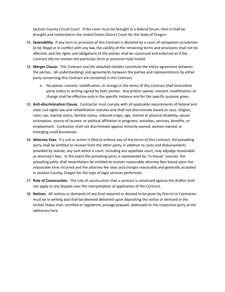Jackson County Circuit Court. If the claim must be brought in a federal forum, then it shall be brought and conducted in the United States District Court for the State of Oregon.

- 33. **Severability.** If any term or provision of this Contract is declared by a court of competent jurisdiction to be illegal or in conflict with any law, the validity of the remaining terms and provisions shall not be affected, and the rights and obligations of the parties shall be construed and enforced as if the Contract did not contain the particular term or provision held invalid.
- 34. **Merger Clause.** This Contract and the attached exhibits constitute the entire agreement between the parties. All understandings and agreements between the parties and representations by either party concerning this Contract are contained in this Contract.
	- a. No waiver, consent, modification, or change in the terms of this Contract shall bind either party unless in writing signed by both parties. Any written waiver, consent, modification, or change shall be effective only in the specific instance and for the specific purpose given.
- 35. **Anti-discrimination Clause.** Contractor must comply with all applicable requirements of federal and state civil rights law and rehabilitation statutes and shall not discriminate based on race, religion, color, sex, marital status, familial status, national origin, age, mental or physical disability, sexual orientation, source of income, or political affiliation in programs, activities, services, benefits, or employment. Contractor shall not discriminate against minority-owned, women-owned, or emerging small businesses.
- 36. **Attorney Fees.** If a suit or action is filed to enforce any of the terms of this Contract, the prevailing party shall be entitled to recover from the other party, in addition to costs and disbursements provided by statute, any sum which a court, including any appellate court, may adjudge reasonable as attorney's fees. In the event the prevailing party is represented by "in-house" counsel, the prevailing party shall nevertheless be entitled to recover reasonable attorney fees based upon the reasonable time incurred and the attorney fee rates and charges reasonably and generally accepted in Jackson County, Oregon for the type of legal services performed.
- 37. **Rule of Construction.** The rule of construction that a contract is construed against the drafter shall not apply to any dispute over the interpretation of application of the Contract.
- 38. **Notices.** All notices or demands of any kind required or desired to be given by District or Contractor must be in writing and shall be deemed delivered upon depositing the notice or demand in the United States mail, certified or registered, postage prepaid, addressed to the respective party at the addresses here.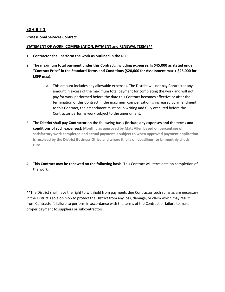#### <span id="page-25-0"></span>**EXHIBIT 1**

#### **Professional Services Contract**

#### **STATEMENT OF WORK, COMPENSATION, PAYMENT and RENEWAL TERMS\*\***

- 1. **Contractor shall perform the work as outlined in the RFP.**
- 2. **The maximum total payment under this Contract, including expenses: Is \$45,000 as stated under "Contract Price" in the Standard Terms and Conditions (\$20,000 for Assessment max + \$25,000 for LRFP max).**
	- a. This amount includes any allowable expenses. The District will not pay Contractor any amount in excess of the maximum total payment for completing the work and will not pay for work performed before the date this Contract becomes effective or after the termination of this Contract. If the maximum compensation is increased by amendment to this Contract, the amendment must be in writing and fully executed before the Contractor performs work subject to the amendment.
- 3. **The District shall pay Contractor on the following basis (include any expenses and the terms and conditions of such expenses): Monthly as approved by Matt Allen based on percentage of satisfactory work completed and actual payment is subject to when approved payment application is received by the District Business Office and where it falls on deadlines for bi-monthly check runs.**
- 4. **This Contract may be renewed on the following basis:** This Contract will terminate on completion of the work.

\*\*The District shall have the right to withhold from payments due Contractor such sums as are necessary in the District's sole opinion to protect the District from any loss, damage, or claim which may result from Contractor's failure to perform in accordance with the terms of the Contract or failure to make proper payment to suppliers or subcontractors.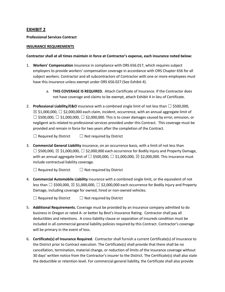#### <span id="page-26-0"></span>**EXHIBIT 2**

#### **Professional Services Contract**

#### **INSURANCE REQUIREMENTS**

#### **Contractor shall at all times maintain in force at Contractor's expense, each insurance noted below:**

- 1. **Workers' Compensation** insurance in compliance with ORS 656.017, which requires subject employers to provide workers' compensation coverage in accordance with ORS Chapter 656 for all subject workers. Contractor and all subcontractors of Contractor with one or more employees must have this insurance unless exempt under ORS 656.027 (See Exhibit 4).
	- a. **THIS COVERAGE IS REQUIRED.** Attach Certificate of Insurance. If the Contractor does not have coverage and claims to be exempt, attach Exhibit 4 in lieu of Certificate.
- 2. **Professional Liability/E&O** insurance with a combined single limit of not less than ☐ \$500,000,  $\boxtimes$  \$1,000,000,  $\Box$  \$2,000,000 each claim, incident, occurrence, with an annual aggregate limit of  $\Box$  \$500,000,  $\Box$  \$1,000,000,  $\Box$  \$2,000,000. This is to cover damages caused by error, omission, or negligent acts related to professional services provided under this Contract. This coverage must be provided and remain in force for two years after the completion of the Contract.

 $\Box$  Required by District  $\Box$  Not required by District

3. **Commercial General Liability** insurance, on an occurrence basis, with a limit of not less than  $\Box$  \$500,000,  $\boxtimes$  \$1,000,000,  $\Box$  \$2,000,000 each occurrence for Bodily Injury and Property Damage, with an annual aggregate limit of  $\square$  \$500,000,  $\square$  \$1,000,000,  $\square$  \$2,000,000. This insurance must include contractual liability coverage.

 $\Box$  Required by District  $\Box$  Not required by District

4. **Commercial Automobile Liability** insurance with a combined single limit, or the equivalent of not less than  $\Box$  \$500,000,  $\boxtimes$  \$1,000,000,  $\Box$  \$2,000,000 each occurrence for Bodily Injury and Property Damage, including coverage for owned, hired or non-owned vehicles.

 $\Box$  Required by District  $\Box$  Not required by District

- 5. **Additional Requirements.** Coverage must be provided by an insurance company admitted to do business in Oregon or rated A- or better by Best's Insurance Rating. Contractor shall pay all deductibles and retentions. A cross-liability clause or separation of insureds condition must be included in all commercial general liability policies required by this Contract. Contractor's coverage will be primary in the event of loss.
- 6. **Certificate(s) of Insurance Required.** Contractor shall furnish a current Certificate(s) of Insurance to the District prior to Contract execution. The Certificate(s) shall provide that there shall be no cancellation, termination, material change, or reduction of limits of the insurance coverage without 30 days' written notice from the Contractor's insurer to the District. The Certificate(s) shall also state the deductible or retention level. For commercial general liability, the Certificate shall also provide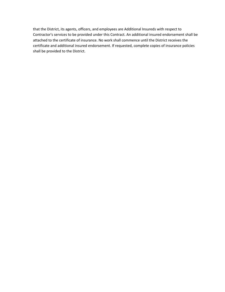that the District, its agents, officers, and employees are Additional Insureds with respect to Contractor's services to be provided under this Contract. An additional insured endorsement shall be attached to the certificate of insurance. No work shall commence until the District receives the certificate and additional insured endorsement. If requested, complete copies of insurance policies shall be provided to the District.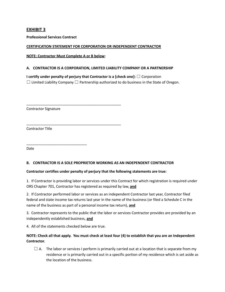## <span id="page-28-0"></span>**EXHIBIT 3**

**Professional Services Contract**

#### **CERTIFICATION STATEMENT FOR CORPORATION OR INDEPENDENT CONTRACTOR**

**NOTE: Contractor Must Complete A or B below:**

\_\_\_\_\_\_\_\_\_\_\_\_\_\_\_\_\_\_\_\_\_\_\_\_\_\_\_\_\_\_\_\_\_\_\_\_\_\_\_\_\_\_\_\_\_\_\_

\_\_\_\_\_\_\_\_\_\_\_\_\_\_\_\_\_\_\_\_\_\_\_\_\_\_\_\_\_\_\_\_\_\_\_\_\_\_\_\_\_\_\_\_\_\_\_

#### <span id="page-28-1"></span>**A. CONTRACTOR IS A CORPORATION, LIMITED LIABILITY COMPANY OR A PARTNERSHIP**

**I certify under penalty of perjury that Contractor is a [check one]:** ☐ Corporation  $\Box$  Limited Liability Company  $\Box$  Partnership authorized to do business in the State of Oregon.

Contractor Signature

\_\_\_\_\_\_\_\_\_\_\_\_\_\_\_\_\_\_\_\_\_\_\_\_\_\_\_\_\_\_

Contractor Title

Date

#### <span id="page-28-2"></span>**B. CONTRACTOR IS A SOLE PROPRIETOR WORKING AS AN INDEPENDENT CONTRACTOR**

#### **Contractor certifies under penalty of perjury that the following statements are true:**

1. If Contractor is providing labor or services under this Contract for which registration is required under ORS Chapter 701, Contractor has registered as required by law, **and**

2. If Contractor performed labor or services as an independent Contractor last year, Contractor filed federal and state income tax returns last year in the name of the business (or filed a Schedule C in the name of the business as part of a personal income tax return), **and**

3. Contractor represents to the public that the labor or services Contractor provides are provided by an independently established business, **and**

4. All of the statements checked below are true.

#### NOTE: Check all that apply. You must check at least four (4) to establish that you are an Independent **Contractor.**

 $\Box$  A. The labor or services I perform is primarily carried out at a location that is separate from my residence or is primarily carried out in a specific portion of my residence which is set aside as the location of the business.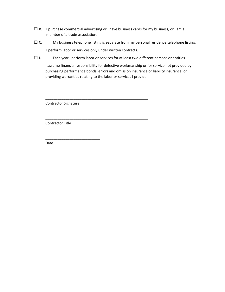- $\Box$  B. I purchase commercial advertising or I have business cards for my business, or I am a member of a trade association.
- $\Box$  C. My business telephone listing is separate from my personal residence telephone listing. I perform labor or services only under written contracts.
- $\Box$  D. Each year I perform labor or services for at least two different persons or entities.

\_\_\_\_\_\_\_\_\_\_\_\_\_\_\_\_\_\_\_\_\_\_\_\_\_\_\_\_\_\_\_\_\_\_\_\_\_\_\_\_\_\_\_\_\_\_\_\_\_\_\_

\_\_\_\_\_\_\_\_\_\_\_\_\_\_\_\_\_\_\_\_\_\_\_\_\_\_\_\_\_\_\_\_\_\_\_\_\_\_\_\_\_\_\_\_\_\_\_\_\_\_\_

I assume financial responsibility for defective workmanship or for service not provided by purchasing performance bonds, errors and omission insurance or liability insurance, or providing warranties relating to the labor or services I provide.

Contractor Signature

\_\_\_\_\_\_\_\_\_\_\_\_\_\_\_\_\_\_\_\_\_\_\_\_\_\_\_

Contractor Title

Date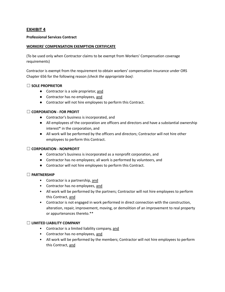## <span id="page-30-0"></span>**EXHIBIT 4**

#### **Professional Services Contract**

#### **WORKERS' COMPENSATION EXEMPTION CERTIFICATE**

(To be used only when Contractor claims to be exempt from Workers' Compensation coverage requirements)

Contractor is exempt from the requirement to obtain workers' compensation insurance under ORS Chapter 656 for the following reason *(check the appropriate box)*:

#### ☐ **SOLE PROPRIETOR**

- Contractor is a sole proprietor, and
- Contractor has no employees, and
- Contractor will not hire employees to perform this Contract.

#### ☐ **CORPORATION - FOR PROFIT**

- Contractor's business is incorporated, and
- All employees of the corporation are officers and directors and have a substantial ownership interest\* in the corporation, and
- All work will be performed by the officers and directors; Contractor will not hire other employees to perform this Contract.

#### ☐ **CORPORATION - NONPROFIT**

- Contractor's business is incorporated as a nonprofit corporation, and
- Contractor has no employees; all work is performed by volunteers, and
- Contractor will not hire employees to perform this Contract.

#### ☐ **PARTNERSHIP**

- Contractor is a partnership, and
- Contractor has no employees, and
- All work will be performed by the partners; Contractor will not hire employees to perform this Contract, and
- Contractor is not engaged in work performed in direct connection with the construction, alteration, repair, improvement, moving, or demolition of an improvement to real property or appurtenances thereto.\*\*

#### ☐ **LIMITED LIABILITY COMPANY**

- Contractor is a limited liability company, and
- Contractor has no employees, and
- All work will be performed by the members; Contractor will not hire employees to perform this Contract, and